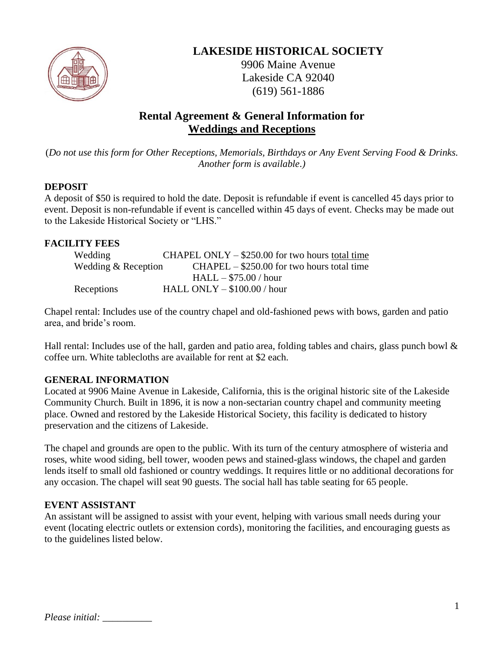

# **LAKESIDE HISTORICAL SOCIETY**

9906 Maine Avenue Lakeside CA 92040 (619) 561-1886

# **Rental Agreement & General Information for Weddings and Receptions**

(*Do not use this form for Other Receptions, Memorials, Birthdays or Any Event Serving Food & Drinks. Another form is available.)*

## **DEPOSIT**

A deposit of \$50 is required to hold the date. Deposit is refundable if event is cancelled 45 days prior to event. Deposit is non-refundable if event is cancelled within 45 days of event. Checks may be made out to the Lakeside Historical Society or "LHS."

## **FACILITY FEES**

| Wedding             | CHAPEL ONLY $-$ \$250.00 for two hours total time |
|---------------------|---------------------------------------------------|
| Wedding & Reception | $CHAPEL - $250.00$ for two hours total time       |
|                     | $HALL - $75.00 / hour$                            |
| Receptions          | HALL ONLY $-$ \$100.00 / hour                     |

Chapel rental: Includes use of the country chapel and old-fashioned pews with bows, garden and patio area, and bride's room.

Hall rental: Includes use of the hall, garden and patio area, folding tables and chairs, glass punch bowl  $\&$ coffee urn. White tablecloths are available for rent at \$2 each.

## **GENERAL INFORMATION**

Located at 9906 Maine Avenue in Lakeside, California, this is the original historic site of the Lakeside Community Church. Built in 1896, it is now a non-sectarian country chapel and community meeting place. Owned and restored by the Lakeside Historical Society, this facility is dedicated to history preservation and the citizens of Lakeside.

The chapel and grounds are open to the public. With its turn of the century atmosphere of wisteria and roses, white wood siding, bell tower, wooden pews and stained-glass windows, the chapel and garden lends itself to small old fashioned or country weddings. It requires little or no additional decorations for any occasion. The chapel will seat 90 guests. The social hall has table seating for 65 people.

## **EVENT ASSISTANT**

An assistant will be assigned to assist with your event, helping with various small needs during your event (locating electric outlets or extension cords), monitoring the facilities, and encouraging guests as to the guidelines listed below.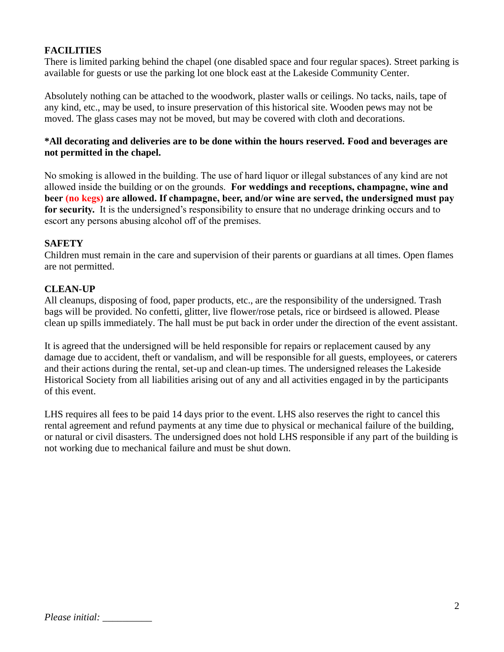## **FACILITIES**

There is limited parking behind the chapel (one disabled space and four regular spaces). Street parking is available for guests or use the parking lot one block east at the Lakeside Community Center.

Absolutely nothing can be attached to the woodwork, plaster walls or ceilings. No tacks, nails, tape of any kind, etc., may be used, to insure preservation of this historical site. Wooden pews may not be moved. The glass cases may not be moved, but may be covered with cloth and decorations.

#### **\*All decorating and deliveries are to be done within the hours reserved. Food and beverages are not permitted in the chapel.**

No smoking is allowed in the building. The use of hard liquor or illegal substances of any kind are not allowed inside the building or on the grounds. **For weddings and receptions, champagne, wine and beer (no kegs) are allowed. If champagne, beer, and/or wine are served, the undersigned must pay for security.** It is the undersigned's responsibility to ensure that no underage drinking occurs and to escort any persons abusing alcohol off of the premises.

#### **SAFETY**

Children must remain in the care and supervision of their parents or guardians at all times. Open flames are not permitted.

#### **CLEAN-UP**

All cleanups, disposing of food, paper products, etc., are the responsibility of the undersigned. Trash bags will be provided. No confetti, glitter, live flower/rose petals, rice or birdseed is allowed. Please clean up spills immediately. The hall must be put back in order under the direction of the event assistant.

It is agreed that the undersigned will be held responsible for repairs or replacement caused by any damage due to accident, theft or vandalism, and will be responsible for all guests, employees, or caterers and their actions during the rental, set-up and clean-up times. The undersigned releases the Lakeside Historical Society from all liabilities arising out of any and all activities engaged in by the participants of this event.

LHS requires all fees to be paid 14 days prior to the event. LHS also reserves the right to cancel this rental agreement and refund payments at any time due to physical or mechanical failure of the building, or natural or civil disasters. The undersigned does not hold LHS responsible if any part of the building is not working due to mechanical failure and must be shut down.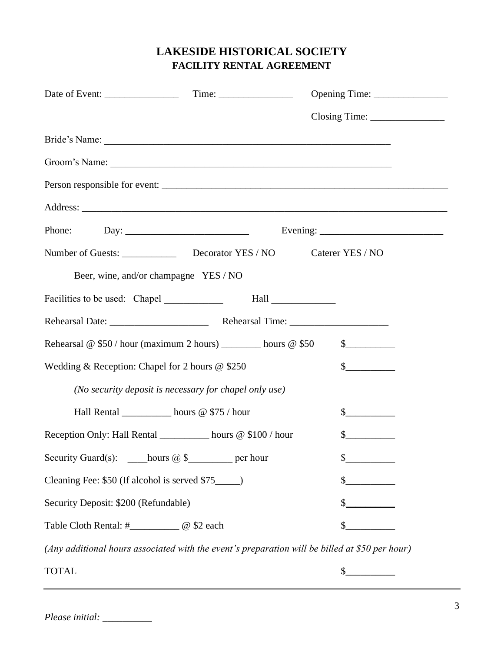# **LAKESIDE HISTORICAL SOCIETY FACILITY RENTAL AGREEMENT**

| Bride's Name:                                                                                                                                                                                                                  |                                                                                                                                                                                                                                                                                                  |               |  |  |
|--------------------------------------------------------------------------------------------------------------------------------------------------------------------------------------------------------------------------------|--------------------------------------------------------------------------------------------------------------------------------------------------------------------------------------------------------------------------------------------------------------------------------------------------|---------------|--|--|
| Groom's Name: 1988. Communication of the Communication of the Communication of the Communication of the Communication of the Communication of the Communication of the Communication of the Communication of the Communication |                                                                                                                                                                                                                                                                                                  |               |  |  |
|                                                                                                                                                                                                                                |                                                                                                                                                                                                                                                                                                  |               |  |  |
|                                                                                                                                                                                                                                |                                                                                                                                                                                                                                                                                                  |               |  |  |
|                                                                                                                                                                                                                                | Evening: $\frac{1}{\sqrt{1-\frac{1}{2}} \cdot \frac{1}{2}}$                                                                                                                                                                                                                                      |               |  |  |
|                                                                                                                                                                                                                                |                                                                                                                                                                                                                                                                                                  |               |  |  |
| Beer, wine, and/or champagne YES / NO                                                                                                                                                                                          |                                                                                                                                                                                                                                                                                                  |               |  |  |
|                                                                                                                                                                                                                                |                                                                                                                                                                                                                                                                                                  |               |  |  |
|                                                                                                                                                                                                                                |                                                                                                                                                                                                                                                                                                  |               |  |  |
| Rehearsal @ $$50/hour$ (maximum 2 hours) _________ hours @ \$50<br>$\frac{1}{2}$                                                                                                                                               |                                                                                                                                                                                                                                                                                                  |               |  |  |
| Wedding & Reception: Chapel for 2 hours $@$ \$250                                                                                                                                                                              | s                                                                                                                                                                                                                                                                                                |               |  |  |
| (No security deposit is necessary for chapel only use)                                                                                                                                                                         |                                                                                                                                                                                                                                                                                                  |               |  |  |
| Hall Rental __________ hours @ \$75 / hour                                                                                                                                                                                     |                                                                                                                                                                                                                                                                                                  | $\frac{1}{2}$ |  |  |
| Reception Only: Hall Rental _________ hours @ \$100 / hour                                                                                                                                                                     |                                                                                                                                                                                                                                                                                                  | s             |  |  |
| Security Guard(s): hours $@$ \$ per hour                                                                                                                                                                                       | $\mathbb{C}$ and $\mathbb{C}$ and $\mathbb{C}$ and $\mathbb{C}$ and $\mathbb{C}$ and $\mathbb{C}$ and $\mathbb{C}$ and $\mathbb{C}$ and $\mathbb{C}$ and $\mathbb{C}$ and $\mathbb{C}$ and $\mathbb{C}$ and $\mathbb{C}$ and $\mathbb{C}$ and $\mathbb{C}$ and $\mathbb{C}$ and $\mathbb{C}$ and |               |  |  |
| Cleaning Fee: \$50 (If alcohol is served \$75_____)                                                                                                                                                                            | \$                                                                                                                                                                                                                                                                                               |               |  |  |
| Security Deposit: \$200 (Refundable)                                                                                                                                                                                           |                                                                                                                                                                                                                                                                                                  |               |  |  |
|                                                                                                                                                                                                                                |                                                                                                                                                                                                                                                                                                  |               |  |  |
| (Any additional hours associated with the event's preparation will be billed at \$50 per hour)                                                                                                                                 |                                                                                                                                                                                                                                                                                                  |               |  |  |
| <b>TOTAL</b>                                                                                                                                                                                                                   | $\frac{\text{S}}{\text{S}}$                                                                                                                                                                                                                                                                      |               |  |  |